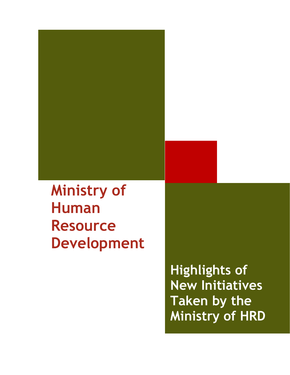# **Ministry of Human Resource Development**

**Highlights of New Initiatives Taken by the Ministry of HRD**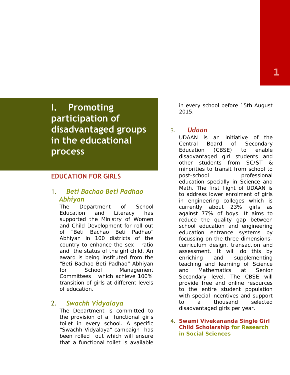**I. Promoting participation of disadvantaged groups in the educational process**

### **EDUCATION FOR GIRLS**

## 1. *Beti Bachao Beti Padhao Abhiyan*

The Department of School Education and Literacy has supported the Ministry of Women and Child Development for roll out of "*Beti Bachao Beti Padhao" Abhiyan* in 100 districts of the country to enhance the sex ratio and the status of the girl child. An award is being instituted from the "*Beti Bachao Beti Padhao" Abhiyan* for School Management Committees which achieve 100% transition of girls at different levels of education.

## 2. *Swachh Vidyalaya*

The Department is committed to the provision of a functional girls toilet in every school. A specific "*Swachh Vidyalaya*" campaign has been rolled out which will ensure that a functional toilet is available in every school before 15th August 2015.

#### 3. *Udaan*

UDAAN is an initiative of the Central Board of Secondary Education (CBSE) to enable disadvantaged girl students and other students from SC/ST & minorities to transit from school to post-school professional education specially in Science and Math. The first flight of UDAAN is to address lower enrolment of girls in engineering colleges which is currently about 23% girls as against 77% of boys. It aims to reduce the quality gap between school education and engineering education entrance systems by focussing on the three dimensions curriculum design, transaction and assessment. It will do this by enriching and supplementing teaching and learning of Science and Mathematics at Senior Secondary level. The CBSE will provide free and online resources to the entire student population with special incentives and support to a thousand selected disadvantaged girls per year.

*4. Swami Vivekananda Single Girl Child Scholarship for Research in Social Sciences*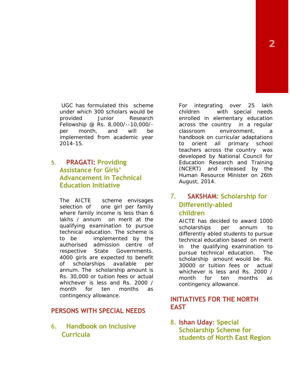UGC has formulated this scheme under which 300 scholars would be provided Junior Research Fellowship @ Rs. 8,000/--10,000/ per month, and will be implemented from academic year 2014-15.

## 5. **PRAGATI: Providing Assistance for Girls' Advancement in Technical Education Initiative**

The AICTE scheme envisages 7. selection of one girl per family where family income is less than 6 lakhs / annum on merit at the qualifying examination to pursue technical education. The scheme is to be implemented by the authorised admission centre of respective State Governments. 4000 girls are expected to benefit of scholarships available per annum. The scholarship amount is Rs. 30,000 or tuition fees or actual whichever is less and Rs. 2000 / month for ten months as contingency allowance.

## **PERSONS WITH SPECIAL NEEDS**

6. **Handbook on Inclusive Curricula**

For integrating over 25 lakh children with special needs enrolled in elementary education across the country in a regular classroom environment, a handbook on curricular adaptations to orient all primary school teachers across the country was developed by National Council for Education Research and Training (NCERT) and released by the Human Resource Minister on 26th August, 2014.

## 7. **SAKSHAM: Scholarship for Differently-abled children**

AICTE has decided to award 1000 scholarships per annum to differently abled students to pursue technical education based on merit in the qualifying examination to pursue technical education. The scholarship amount would be Rs. 30000 or tuition fees or actual whichever is less and Rs. 2000 / month for ten months as contingency allowance.

## **INITIATIVES FOR THE NORTH EAST**

8. **Ishan Uday: Special Scholarship Scheme for students of North East Region**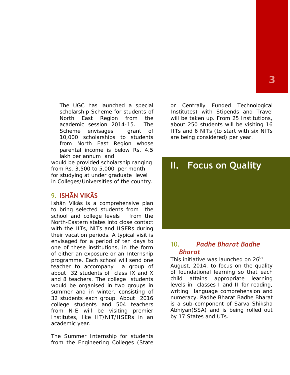The UGC has launched a special scholarship Scheme for students of North East Region from the academic session 2014-15. The Scheme envisages grant of 10,000 scholarships to students from North East Region whose parental income is below Rs. 4.5 lakh per annum and

would be provided scholarship ranging from Rs. 3,500 to 5,000 per month for studying at under graduate level in Colleges/Universities of the country.

## 9. **ISHĀN VIKĀS**

Ish n Vik s is a comprehensive plan to bring selected students from the school and college levels from the North-Eastern states into close contact with the IITs, NITs and IISERs during their vacation periods. A typical visit is envisaged for a period of ten days to  $\frac{10}{10}$ one of these institutions, in the form of either an exposure or an Internship programme. Each school will send one teacher to accompany a group of about 32 students of class IX and X and 8 teachers. The college students would be organised in two groups in summer and in winter, consisting of 32 students each group. About 2016 college students and 504 teachers from N-E will be visiting premier Institutes, like IIT/NIT/IISERs in an academic year.

The Summer Internship for students from the Engineering Colleges (State or Centrally Funded Technological Institutes) with Stipends and Travel will be taken up. From 25 Institutions, about 250 students will be visiting 16 IITs and 6 NITs (to start with six NITs are being considered) per year.



## 10. *Padhe Bharat Badhe Bharat*

This initiative was launched on  $26<sup>th</sup>$ August, 2014, to focus on the quality of foundational learning so that each attains appropriate learning levels in classes I and II for reading, writing language comprehension and numeracy. Padhe Bharat Badhe Bharat is a sub-component of Sarva Shiksha Abhiyan(SSA) and is being rolled out by 17 States and UTs.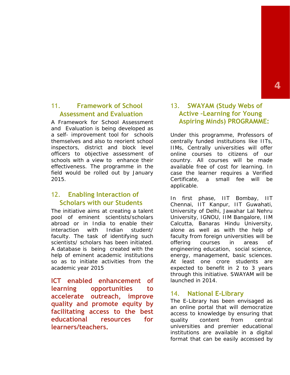## 11. **Framework of School Assessment and Evaluation**

A Framework for School Assessment and Evaluation is being developed as a self- improvement tool for schools themselves and also to reorient school inspectors, district and block level officers to objective assessment of schools with a view to enhance their effectiveness. The programme in the field would be rolled out by January 2015.

### 12. **Enabling Interaction of Scholars with our Students**

The initiative aims at creating a talent pool of eminent scientists/scholars abroad or in India to enable their interaction with Indian student/ faculty. The task of identifying such scientists/ scholars has been initiated. A database is being created with the help of eminent academic institutions so as to initiate activities from the academic year 2015

**ICT enabled enhancement of learning opportunities to accelerate outreach, improve quality and promote equity by facilitating access to the best educational resources for learners/teachers.**

## 13. **SWAYAM (Study Webs of Active –Learning for Young Aspiring Minds) PROGRAMME:**

Under this programme, Professors of centrally funded institutions like IITs, IIMs, Centrally universities will offer online courses to citizens of our country. All courses will be made available free of cost for learning. In case the learner requires a Verified Certificate, a small fee will be applicable.

In first phase, IIT Bombay, IIT Chennai, IIT Kanpur, IIT Guwahati, University of Delhi, Jawahar Lal Nehru University, IGNOU, IIM Bangalore, IIM Calcutta, Banaras Hindu University, alone as well as with the help of faculty from foreign universities will be offering courses in areas of engineering education, social science, energy, management, basic sciences. At least one crore students are expected to benefit in 2 to 3 years through this initiative. SWAYAM will be launched in 2014.

#### **National E-Library**

The E-Library has been envisaged as an online portal that will democratize access to knowledge by ensuring that content from central universities and premier educational institutions are available in a digital format that can be easily accessed by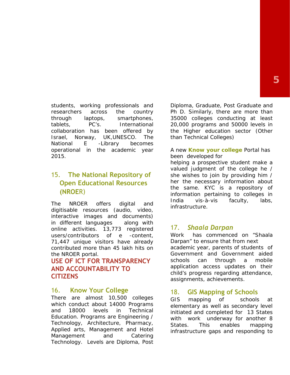students, working professionals and researchers across the country through laptops, smartphones, tablets, PC's. International collaboration has been offered by Israel, Norway, UK,UNESCO. The National E -Library becomes operational in the academic year 2015.

## 15. **The National Repository of Open Educational Resources (NROE**R)

India<br>The NROER offers digital and lufase digitisable resources (audio, video, interactive images and documents) in different languages along with<br>online activities 13.773 registered 17. online activities. 13,773 registered users/contributors of e -content, 71,447 unique visitors have already contributed more than 45 lakh hits on the NROER portal.

## **USE OF ICT FOR TRANSPARENCY AND ACCOUNTABILITY TO CITIZENS**

#### 16. **Know Your College**

There are almost 10,500 colleges GIS which conduct about 14000 Programs and 18000 levels in Technical Education. Programs are Engineering / Technology, Architecture, Pharmacy, Applied arts, Management and Hotel Management and Catering Technology. Levels are Diploma, Post

Diploma, Graduate, Post Graduate and Ph D. Similarly, there are more than 35000 colleges conducting at least 20,000 programs and 50000 levels in the Higher education sector (Other than Technical Colleges)

#### A new *Know your college* Portal has been developed for

helping a prospective student make a valued judgment of the college he / she wishes to join by providing him / her the necessary information about the same. KYC is a repository of information pertaining to colleges in vis-à-vis faculty, labs, infrastructure.

#### 17. *Shaala Darpan*

Work has commenced on "Shaala Darpan" to ensure that from next academic year, parents of students of Government and Government aided can through a mobile application access updates on their child's progress regarding attendance, assignments, achievements.

#### 18. **GIS Mapping of Schools**

mapping of schools at elementary as well as secondary level initiated and completed for 13 States with work underway for another 8 States. This enables mapping infrastructure gaps and responding to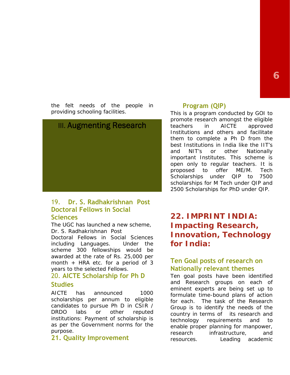**<sup>1</sup>71**

the felt needs of the people in providing schooling facilities.



#### 19. **Dr. S. Radhakrishnan Post Doctoral Fellows in Social Sciences**

The UGC has launched a new scheme, Dr. S. Radhakrishnan Post

Doctoral Fellows in Social Sciences including Languages. Under the scheme 300 fellowships would be awarded at the rate of Rs. 25,000 per month + HRA etc. for a period of 3 years to the selected Fellows.

## 20. **AICTE Scholarship for Ph D**

**Studies**

AICTE has announced 1000 scholarships per annum to eligible candidates to pursue Ph D in CSIR / DRDO labs or other reputed institutions: Payment of scholarship is technology as per the Government norms for the purpose.

## **21. Quality Improvement**

#### **Program (QIP)**

This is a program conducted by GOI to promote research amongst the eligible in AICTE approved Institutions and others and facilitate them to complete a Ph D from the best Institutions in India like the IIT's and NIT's or other Nationally important Institutes. This scheme is open only to regular teachers. It is proposed to offer ME/M. Tech Scholarships under QIP to 7500 scholarships for M Tech under QIP and 2500 Scholarships for PhD under QIP.

**22. IMPRINT INDIA: Impacting Research, Innovation, Technology for India:**

## **Ten Goal posts of research on Nationally relevant themes**

Ten goal posts have been identified and Research groups on each of eminent experts are being set up to formulate time-bound plans of action for each. The task of the Research Group is to identify the needs of the country in terms of its research and requirements and to enable proper planning for manpower, research infrastructure, and resources. Leading academic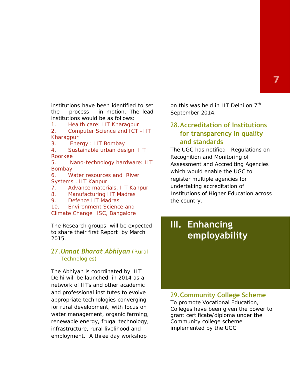institutions have been identified to set the process in motion. The lead institutions would be as follows:

1. Health care: IIT Kharagpur

2. Computer Science and ICT –IIT Kharagpur

3. Energy : IIT Bombay

4. Sustainable urban design IIT Roorkee

5. Nano-technology hardware: IIT Bombay

6. Water resources and River Systems , IIT Kanpur

7. Advance materials. IIT Kanpur

8. Manufacturing IIT Madras

9. Defence IIT Madras

10. Environment Science and Climate Change IISC, Bangalore

The Research groups will be expected to share their first Report by March 2015.

#### 27.*Unnat Bharat Abhiyan* (Rural Technologies)

The *Abhiyan* is coordinated by IIT Delhi will be launched in 2014 as a network of IITs and other academic and professional institutes to evolve appropriate technologies converging for rural development, with focus on water management, organic farming, renewable energy, frugal technology, infrastructure, rural livelihood and employment. A three day workshop

on this was held in IIT Delhi on  $7<sup>th</sup>$ September 2014.

## 28.**Accreditation of Institutions for transparency in quality and standards**

The UGC has notified Regulations on Recognition and Monitoring of Assessment and Accrediting Agencies which would enable the UGC to register multiple agencies for undertaking accreditation of Institutions of Higher Education across the country.

## **III. Enhancing employability**

#### 29.**Community College Scheme**

To promote Vocational Education, Colleges have been given the power to grant certificate/diploma under the Community college scheme implemented by the UGC